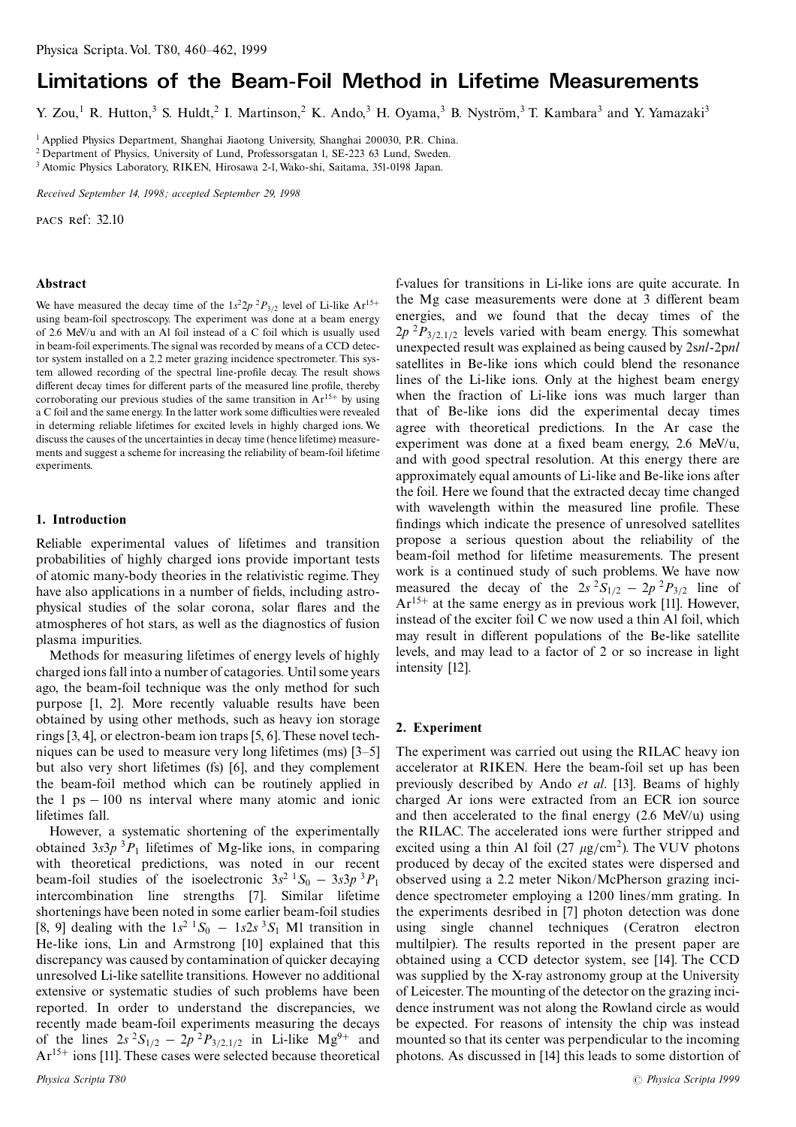# Limitations of the Beam-Foil Method in Lifetime Measurements

Y. Zou,<sup>1</sup> R. Hutton,<sup>3</sup> S. Huldt,<sup>2</sup> I. Martinson,<sup>2</sup> K. Ando,<sup>3</sup> H. Oyama,<sup>3</sup> B. Nyström,<sup>3</sup> T. Kambara<sup>3</sup> and Y. Yamazaki<sup>3</sup>

<sup>1</sup> Applied Physics Department, Shanghai Jiaotong University, Shanghai 200030, P.R. China.

<sup>2</sup> Department of Physics, University of Lund, Professorsgatan 1, SE-223 63 Lund, Sweden.

<sup>3</sup> Atomic Physics Laboratory, RIKEN, Hirosawa 2-1, Wako-shi, Saitama, 351-0198 Japan.

Received September 14, 1998; accepted September 29, 1998

PACS Ref: 32.10

#### Abstract

We have measured the decay time of the  $1s^22p^2P_{3/2}$  level of Li-like Ar<sup>15+</sup> using beam-foil spectroscopy. The experiment was done at a beam energy of 2.6 MeV/u and with an Al foil instead of a C foil which is usually used in beam-foil experiments. The signal was recorded by means of a CCD detector system installed on a 2.2 meter grazing incidence spectrometer. This system allowed recording of the spectral line-profile decay. The result shows different decay times for different parts of the measured line profile, thereby corroborating our previous studies of the same transition in  $Ar^{15+}$  by using a C foil and the same energy. In the latter work some difficulties were revealed in determing reliable lifetimes for excited levels in highly charged ions. We discuss the causes of the uncertainties in decay time (hence lifetime) measurements and suggest a scheme for increasing the reliability of beam-foil lifetime experiments.

## 1. Introduction

Reliable experimental values of lifetimes and transition probabilities of highly charged ions provide important tests of atomic many-body theories in the relativistic regime. They have also applications in a number of fields, including astrophysical studies of the solar corona, solar flares and the atmospheres of hot stars, as well as the diagnostics of fusion plasma impurities.

Methods for measuring lifetimes of energy levels of highly charged ions fall into a number of catagories. Until some years ago, the beam-foil technique was the only method for such purpose [1, 2]. More recently valuable results have been obtained by using other methods, such as heavy ion storage rings [3, 4], or electron-beam ion traps [5, 6]. These novel techniques can be used to measure very long lifetimes (ms) [3–5] but also very short lifetimes (fs) [6], and they complement the beam-foil method which can be routinely applied in the 1  $ps - 100$  ns interval where many atomic and ionic lifetimes fall.

However, a systematic shortening of the experimentally obtained  $3s3p$ <sup>3</sup> $P_1$  lifetimes of Mg-like ions, in comparing with theoretical predictions, was noted in our recent beam-foil studies of the isoelectronic  $3s^2$   ${}^1S_0$  –  $3s^2p^3P_1$ intercombination line strengths [7]. Similar lifetime shortenings have been noted in some earlier beam-foil studies [8, 9] dealing with the  $1s^2$   $^1S_0$  –  $1s2s$   $^3S_1$  M1 transition in He-like ions, Lin and Armstrong [10] explained that this discrepancy was caused by contamination of quicker decaying unresolved Li-like satellite transitions. However no additional extensive or systematic studies of such problems have been reported. In order to understand the discrepancies, we recently made beam-foil experiments measuring the decays of the lines  $2s^2S_{1/2} - 2p^2P_{3/2,1/2}$  in Li-like Mg<sup>9+</sup> and  $Ar^{15+}$  ions [11]. These cases were selected because theoretical f-values for transitions in Li-like ions are quite accurate. In the Mg case measurements were done at 3 different beam energies, and we found that the decay times of the  $2p^{2}P_{3/2,1/2}$  levels varied with beam energy. This somewhat unexpected result was explained as being caused by 2snl-2pnl satellites in Be-like ions which could blend the resonance lines of the Li-like ions. Only at the highest beam energy when the fraction of Li-like ions was much larger than that of Be-like ions did the experimental decay times agree with theoretical predictions. In the Ar case the experiment was done at a fixed beam energy, 2.6 MeV/u, and with good spectral resolution. At this energy there are approximately equal amounts of Li-like and Be-like ions after the foil. Here we found that the extracted decay time changed with wavelength within the measured line profile. These findings which indicate the presence of unresolved satellites propose a serious question about the reliability of the beam-foil method for lifetime measurements. The present work is a continued study of such problems. We have now measured the decay of the  $2s^2S_{1/2} - 2p^2P_{3/2}$  line of  $Ar^{15+}$  at the same energy as in previous work [11]. However, instead of the exciter foil C we now used a thin Al foil, which may result in different populations of the Be-like satellite levels, and may lead to a factor of 2 or so increase in light intensity [12].

#### 2. Experiment

The experiment was carried out using the RILAC heavy ion accelerator at RIKEN. Here the beam-foil set up has been previously described by Ando *et al.* [13]. Beams of highly charged Ar ions were extracted from an ECR ion source and then accelerated to the final energy  $(2.6 \text{ MeV/u})$  using the RILAC. The accelerated ions were further stripped and excited using a thin Al foil (27  $\mu$ g/cm<sup>2</sup>). The VUV photons produced by decay of the excited states were dispersed and observed using a 2.2 meter Nikon/McPherson grazing incidence spectrometer employing a 1200 lines/mm grating. In the experiments desribed in [7] photon detection was done using single channel techniques (Ceratron electron multilpier). The results reported in the present paper are obtained using a CCD detector system, see [14]. The CCD was supplied by the X-ray astronomy group at the University of Leicester. The mounting of the detector on the grazing incidence instrument was not along the Rowland circle as would be expected. For reasons of intensity the chip was instead mounted so that its center was perpendicular to the incoming photons. As discussed in [14] this leads to some distortion of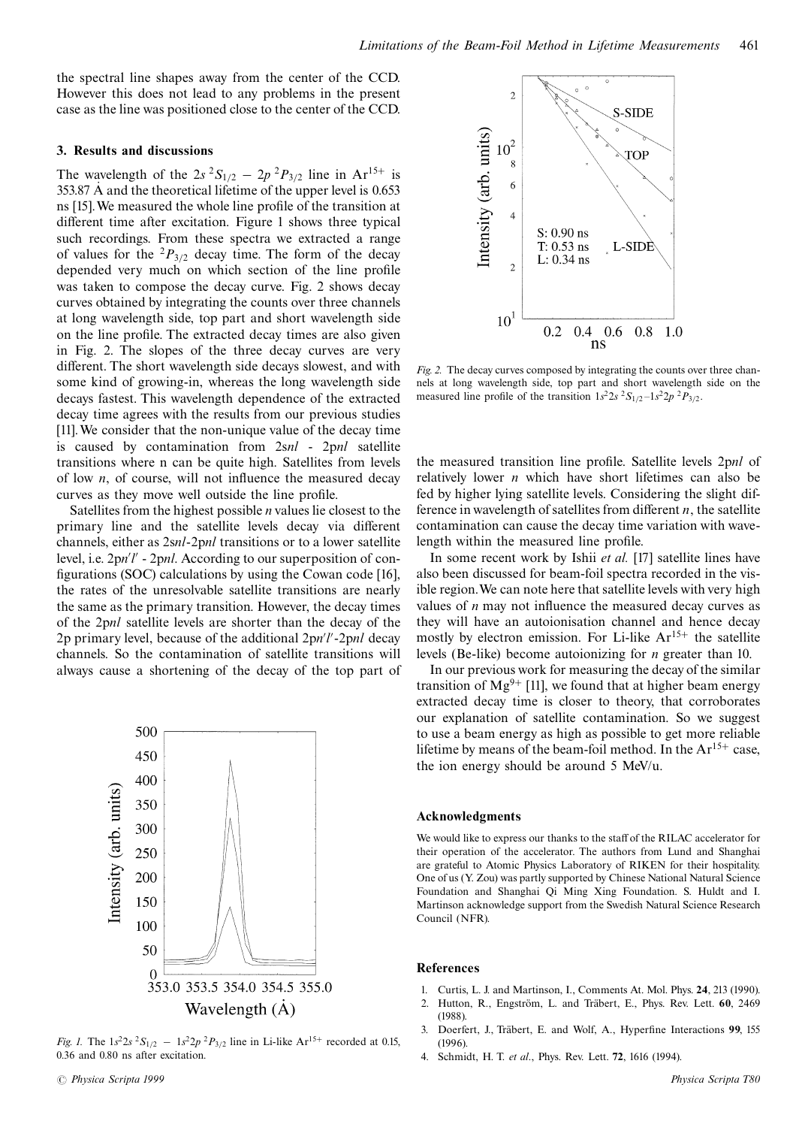the spectral line shapes away from the center of the CCD. However this does not lead to any problems in the present case as the line was positioned close to the center of the CCD.

### 3. Results and discussions

The wavelength of the  $2s^2S_{1/2} - 2p^2P_{3/2}$  line in Ar<sup>15+</sup> is 353.87 A and the theoretical lifetime of the upper level is 0.653 ns [15]. We measured the whole line profile of the transition at different time after excitation. Figure 1 shows three typical such recordings. From these spectra we extracted a range of values for the  ${}^{2}P_{3/2}$  decay time. The form of the decay depended very much on which section of the line profile was taken to compose the decay curve. Fig. 2 shows decay curves obtained by integrating the counts over three channels at long wavelength side, top part and short wavelength side on the line profile. The extracted decay times are also given in Fig. 2. The slopes of the three decay curves are very different. The short wavelength side decays slowest, and with some kind of growing-in, whereas the long wavelength side decays fastest. This wavelength dependence of the extracted decay time agrees with the results from our previous studies [11]. We consider that the non-unique value of the decay time is caused by contamination from 2snl - 2pnl satellite transitions where n can be quite high. Satellites from levels of low  $n$ , of course, will not influence the measured decay curves as they move well outside the line profile.

Satellites from the highest possible  $n$  values lie closest to the primary line and the satellite levels decay via different channels, either as 2snl-2pnl transitions or to a lower satellite level, i.e.  $2pn'l'$  -  $2pnl$ . According to our superposition of configurations (SOC) calculations by using the Cowan code [16], the rates of the unresolvable satellite transitions are nearly the same as the primary transition. However, the decay times of the 2pnl satellite levels are shorter than the decay of the 2p primary level, because of the additional  $2pn'l'$ -2pnl decay channels. So the contamination of satellite transitions will always cause a shortening of the decay of the top part of



Fig. 1. The  $1s^2 2s^2 S_{1/2} - 1s^2 2p^2 P_{3/2}$  line in Li-like  $Ar^{15+}$  recorded at 0.15, 0.36 and 0.80 ns after excitation.



Fig. 2. The decay curves composed by integrating the counts over three channels at long wavelength side, top part and short wavelength side on the measured line profile of the transition  $1s^2 2s^2 S_{1/2} - 1s^2 2p^2 P_{3/2}$ .

the measured transition line profile. Satellite levels 2pnl of relatively lower  $n$  which have short lifetimes can also be fed by higher lying satellite levels. Considering the slight difference in wavelength of satellites from different  $n$ , the satellite contamination can cause the decay time variation with wavelength within the measured line profile.

In some recent work by Ishii et al. [17] satellite lines have also been discussed for beam-foil spectra recorded in the visible region. We can note here that satellite levels with very high values of  $n$  may not influence the measured decay curves as they will have an autoionisation channel and hence decay mostly by electron emission. For Li-like  $Ar^{15+}$  the satellite levels (Be-like) become autoionizing for *n* greater than 10.

In our previous work for measuring the decay of the similar transition of  $Mg^{9+}$  [11], we found that at higher beam energy extracted decay time is closer to theory, that corroborates our explanation of satellite contamination. So we suggest to use a beam energy as high as possible to get more reliable lifetime by means of the beam-foil method. In the  $Ar^{15+}$  case, the ion energy should be around 5 MeV/u.

#### **Acknowledgments**

We would like to express our thanks to the staff of the RILAC accelerator for their operation of the accelerator. The authors from Lund and Shanghai are grateful to Atomic Physics Laboratory of RIKEN for their hospitality. One of us (Y. Zou) was partly supported by Chinese National Natural Science Foundation and Shanghai Qi Ming Xing Foundation. S. Huldt and I. Martinson acknowledge support from the Swedish Natural Science Research Council (NFR).

#### **References**

- Curtis, L. J. and Martinson, I., Comments At. Mol. Phys. 24, 213 (1990).  $\mathbf{1}$
- Hutton, R., Engström, L. and Träbert, E., Phys. Rev. Lett. 60, 2469  $\mathcal{L}$  $(1988).$
- $\overline{3}$ . Doerfert, J., Träbert, E. and Wolf, A., Hyperfine Interactions 99, 155  $(1996)$
- Schmidt, H. T. et al., Phys. Rev. Lett. 72, 1616 (1994). 4.